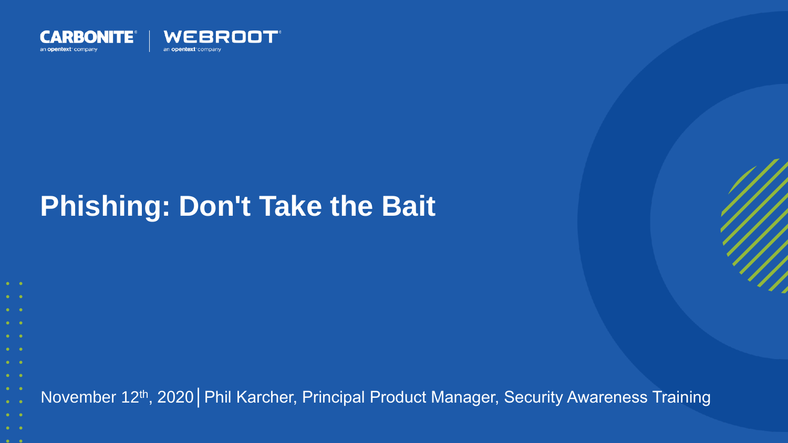

### **Phishing: Don't Take the Bait**

November 12th, 2020│Phil Karcher, Principal Product Manager, Security Awareness Training

- 
- $\bullet$   $\bullet$
-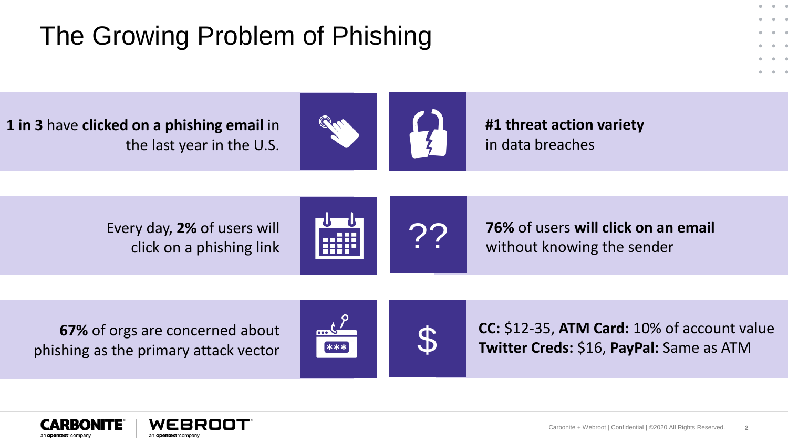#### The Growing Problem of Phishing

**1 in 3** have **clicked on a phishing email** in the last year in the U.S.



**#1 threat action variety** in data breaches

Every day, **2%** of users will click on a phishing link



**72 76%** of users **will click on an email** without knowing the sender

**67%** of orgs are concerned about phishing as the primary attack vector



**CC:** \$12-35, **ATM Card:** 10% of account value<br> **Twitter Creds:** \$16, **PayPal:** Same as ATM

 $-0$   $-1$ 



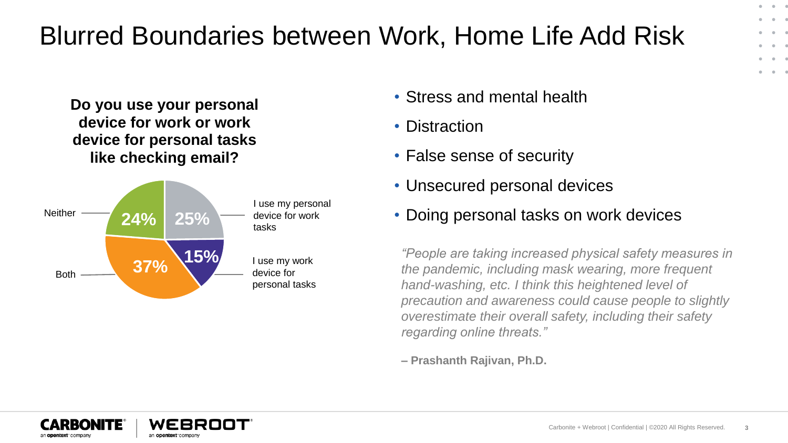#### Blurred Boundaries between Work, Home Life Add Risk

**Do you use your personal device for work or work device for personal tasks like checking email?**



- Stress and mental health
- Distraction
- False sense of security
- Unsecured personal devices
- Doing personal tasks on work devices

*"People are taking increased physical safety measures in the pandemic, including mask wearing, more frequent hand-washing, etc. I think this heightened level of precaution and awareness could cause people to slightly overestimate their overall safety, including their safety regarding online threats."*

**– Prashanth Rajivan, Ph.D.**



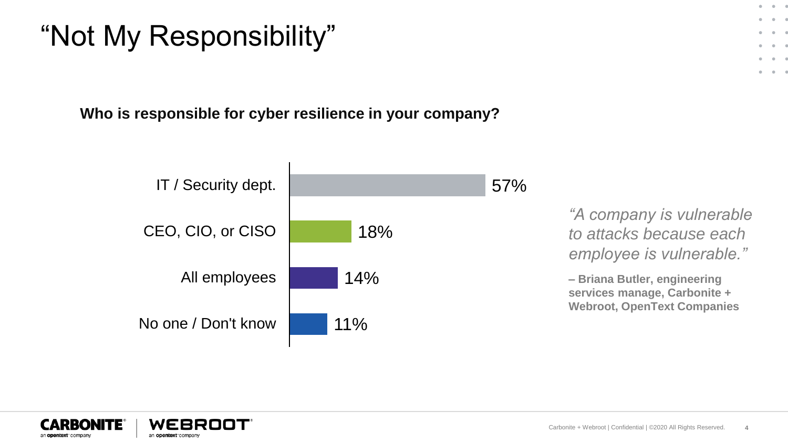### "Not My Responsibility"

**Who is responsible for cyber resilience in your company?**





 $-0$  $\bullet$ 

 $\alpha = 0$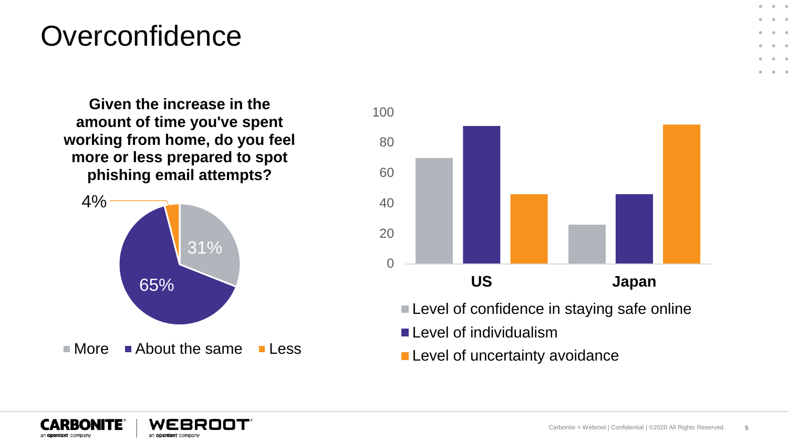#### **Overconfidence**

**Given the increase in the amount of time you've spent working from home, do you feel more or less prepared to spot phishing email attempts?** 





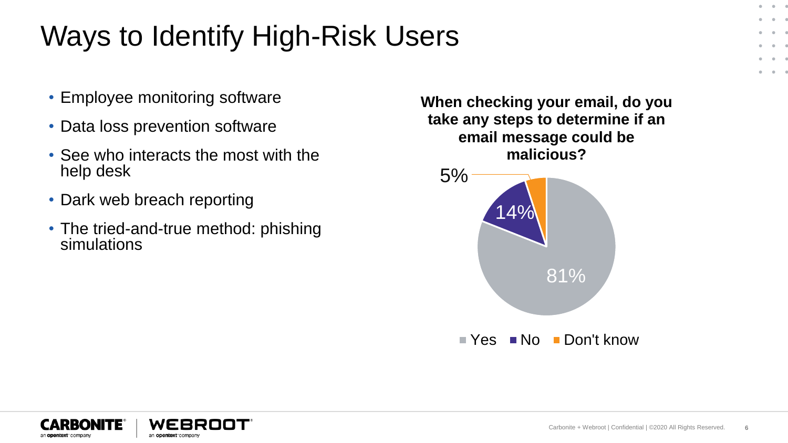## Ways to Identify High-Risk Users

- Employee monitoring software
- Data loss prevention software
- See who interacts the most with the help desk
- Dark web breach reporting
- The tried-and-true method: phishing simulations

**When checking your email, do you take any steps to determine if an email message could be malicious?**





.  $\sim$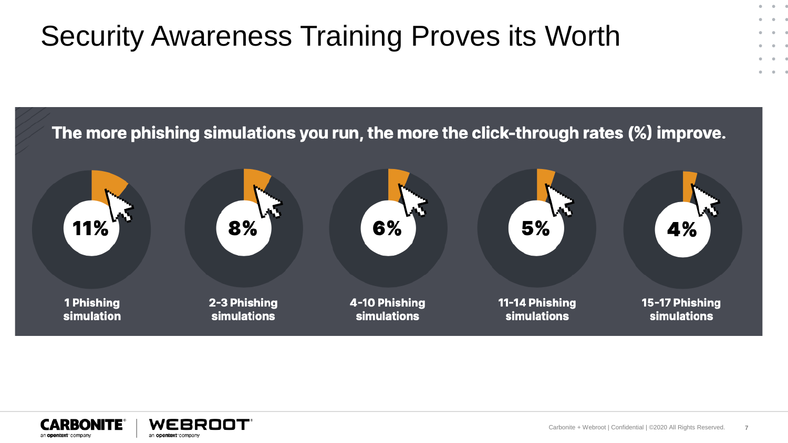# Security Awareness Training Proves its Worth



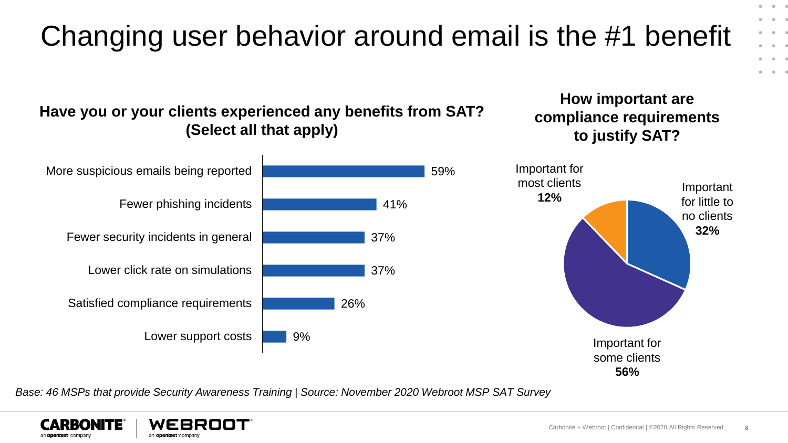

*Base: 46 MSPs that provide Security Awareness Training | Source: November 2020 Webroot MSP SAT Survey*



 $\bullet$   $-$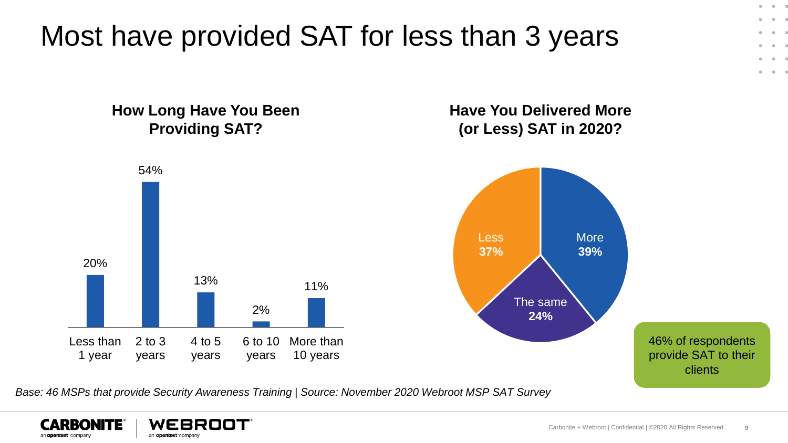Most have provided SAT for less than 3 years

**How Long Have You Been Providing SAT? Have You Delivered More (or Less) SAT in 2020?** 46% of respondents provide SAT to their clients 20% 54% 13% 2% 11% Less than 1 year 2 to 3 years 4 to 5 years 6 to 10 years More than 10 years More **39%** The same **24%** Less **37%**

*Base: 46 MSPs that provide Security Awareness Training | Source: November 2020 Webroot MSP SAT Survey*



 $\bullet$   $\sim$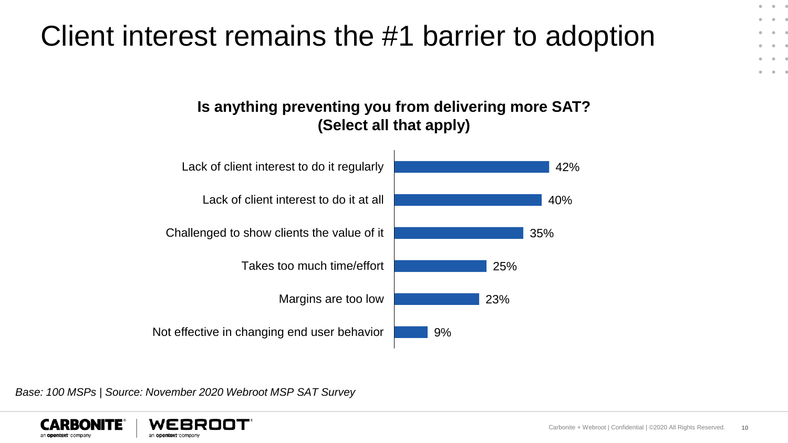#### Carbonite + Webroot | Confidential | ©2020 All Rights Reserved. **10**

 $\bullet$   $\sim$ 

 $\alpha = 0$ 

*Base: 100 MSPs | Source: November 2020 Webroot MSP SAT Survey*



an opentext company

an opentext company



### Client interest remains the #1 barrier to adoption

**Is anything preventing you from delivering more SAT?**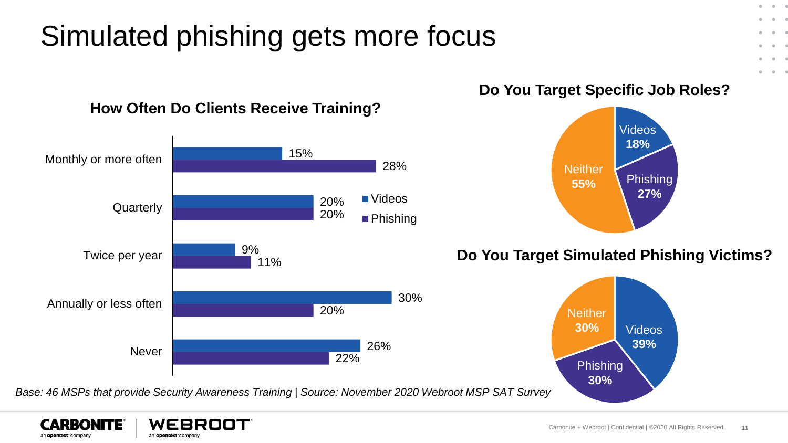## Simulated phishing gets more focus



#### **How Often Do Clients Receive Training?**

*Base: 46 MSPs that provide Security Awareness Training | Source: November 2020 Webroot MSP SAT Survey*



**Do You Target Specific Job Roles?**

 $\bullet$   $-$ .

 $\alpha = 0$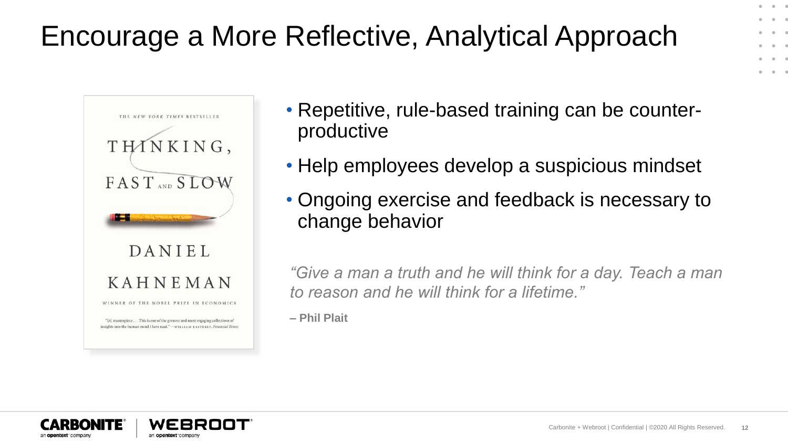## Encourage a More Reflective, Analytical Approach



- Repetitive, rule-based training can be counterproductive
- Help employees develop a suspicious mindset
- Ongoing exercise and feedback is necessary to change behavior

*"Give a man a truth and he will think for a day. Teach a man to reason and he will think for a lifetime."*

**– Phil Plait**



 $-0$   $-1$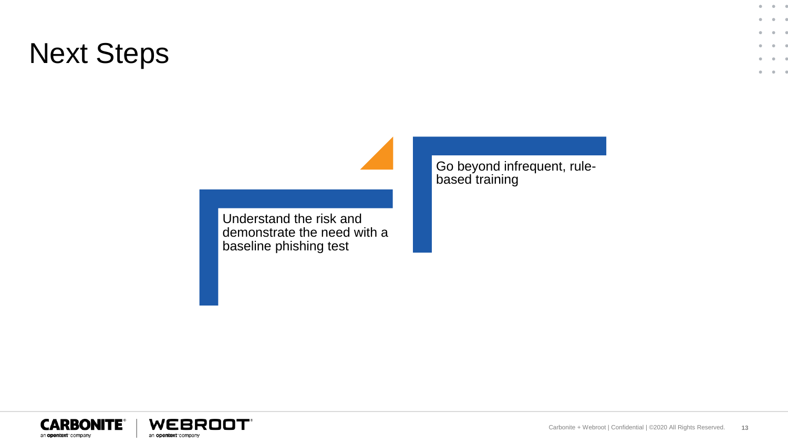### Next Steps

Understand the risk and demonstrate the need with a baseline phishing test

Go beyond infrequent, rulebased training





 $0 - 0 - 0$ 

 $\alpha$  $\bullet$  $\epsilon$  $-0 - 1$  $\sim$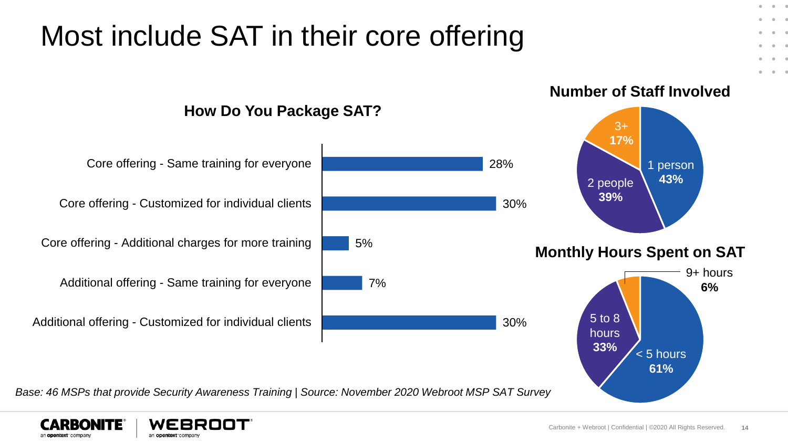

an opentext company an opentext company  $-0.1 - 0.0$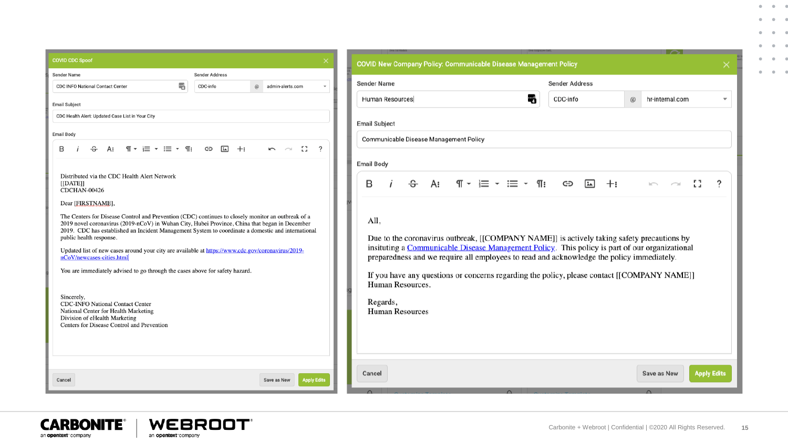| <b>COVID CDC Spoof</b>                                                                                                                                                                                                                                                                                                                                                                                                                                                                                                                                  | <b>COVID New Company Policy: Communicable Disease Management Policy</b>                                                                                                                                                                                                                                                                                                                          |                               |
|---------------------------------------------------------------------------------------------------------------------------------------------------------------------------------------------------------------------------------------------------------------------------------------------------------------------------------------------------------------------------------------------------------------------------------------------------------------------------------------------------------------------------------------------------------|--------------------------------------------------------------------------------------------------------------------------------------------------------------------------------------------------------------------------------------------------------------------------------------------------------------------------------------------------------------------------------------------------|-------------------------------|
| <b>Sender Address</b><br>Sender Name                                                                                                                                                                                                                                                                                                                                                                                                                                                                                                                    |                                                                                                                                                                                                                                                                                                                                                                                                  |                               |
| 팪<br><b>CDC INFO National Contact Center</b><br>CDC-info<br>@<br>admin-alerts.com                                                                                                                                                                                                                                                                                                                                                                                                                                                                       | <b>Sender Name</b>                                                                                                                                                                                                                                                                                                                                                                               | <b>Sender Address</b>         |
| <b>Email Subject</b>                                                                                                                                                                                                                                                                                                                                                                                                                                                                                                                                    | 퍡<br>Human Resources                                                                                                                                                                                                                                                                                                                                                                             | CDC-info                      |
| CDC Health Alert: Updated Case List in Your City                                                                                                                                                                                                                                                                                                                                                                                                                                                                                                        |                                                                                                                                                                                                                                                                                                                                                                                                  |                               |
| <b>Email Body</b>                                                                                                                                                                                                                                                                                                                                                                                                                                                                                                                                       | <b>Email Subject</b>                                                                                                                                                                                                                                                                                                                                                                             |                               |
|                                                                                                                                                                                                                                                                                                                                                                                                                                                                                                                                                         | Communicable Disease Management Policy                                                                                                                                                                                                                                                                                                                                                           |                               |
| -53<br>$\overline{\phantom{a}}$<br>습<br>$\P \cdot \equiv - \equiv - \eta$<br>B<br>A:<br>囸<br>⊖<br>$+$<br>$\sim$<br>$\sim$                                                                                                                                                                                                                                                                                                                                                                                                                               |                                                                                                                                                                                                                                                                                                                                                                                                  |                               |
|                                                                                                                                                                                                                                                                                                                                                                                                                                                                                                                                                         | <b>Email Body</b>                                                                                                                                                                                                                                                                                                                                                                                |                               |
| Distributed via the CDC Health Alert Network<br>[[DATE]<br>CDCHAN-00426                                                                                                                                                                                                                                                                                                                                                                                                                                                                                 | 습<br>$\P \cdot \equiv \cdot \equiv \cdot$<br>B<br>A:                                                                                                                                                                                                                                                                                                                                             | ¶፣<br>$\boxed{1}$<br>$+$<br>ඐ |
| Dear [FIRSTNAME],                                                                                                                                                                                                                                                                                                                                                                                                                                                                                                                                       |                                                                                                                                                                                                                                                                                                                                                                                                  |                               |
| The Centers for Disease Control and Prevention (CDC) continues to closely monitor an outbreak of a<br>2019 novel coronavirus (2019-nCoV) in Wuhan City, Hubei Province, China that began in December<br>2019. CDC has established an Incident Management System to coordinate a domestic and international<br>public health response.<br>Updated list of new cases around your city are available at https://www.cdc.gov/coronavirus/2019-<br>nCoV/newcases-cities.html<br>You are immediately advised to go through the cases above for safety hazard. | All.<br>Due to the coronavirus outbreak, [[COMPANY NAME]] is actively taking safety precautions by<br>insituting a Communicable Disease Management Policy. This policy is part of our organizational<br>preparedness and we require all employees to read and acknowledge the policy immediately.<br>If you have any questions or concerns regarding the policy, please contact [[COMPANY NAME]] |                               |
| Sincerely.<br><b>CDC-INFO National Contact Center</b><br>National Center for Health Marketing<br>Division of eHealth Marketing<br>Centers for Disease Control and Prevention                                                                                                                                                                                                                                                                                                                                                                            | Human Resources.<br>Regards,<br><b>Human Resources</b>                                                                                                                                                                                                                                                                                                                                           |                               |
| <b>Apply Edits</b><br>Cancel<br>Save as New                                                                                                                                                                                                                                                                                                                                                                                                                                                                                                             | Cancel                                                                                                                                                                                                                                                                                                                                                                                           |                               |





 $\mathbf{0} \qquad \mathbf{0} \qquad \mathbf{0}$  $\alpha = 0$  $\bullet$   $0.100110$  $\alpha = \alpha = 0$  $\mathbf{a}$  and  $\mathbf{a}$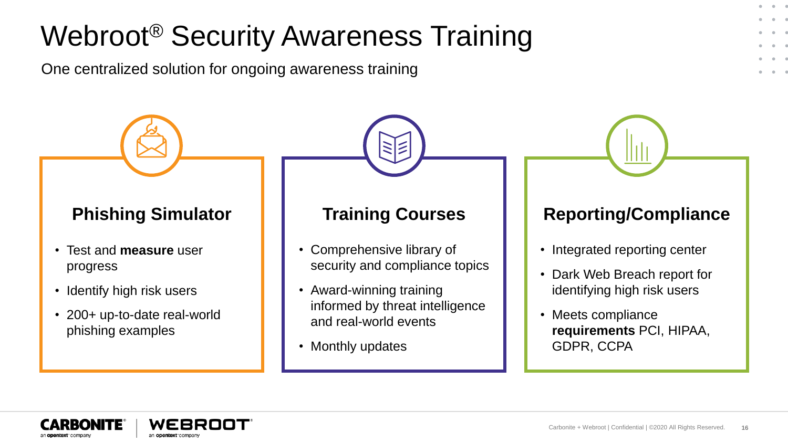## Webroot® Security Awareness Training

One centralized solution for ongoing awareness training

- Test and **measure** user progress
- Identify high risk users
- 200+ up-to-date real-world phishing examples

- Comprehensive library of security and compliance topics
- Award-winning training informed by threat intelligence and real-world events
- Monthly updates

#### **Phishing Simulator | | Training Courses | Reporting/Compliance**

- Integrated reporting center
- Dark Web Breach report for identifying high risk users
- Meets compliance **requirements** PCI, HIPAA, GDPR, CCPA



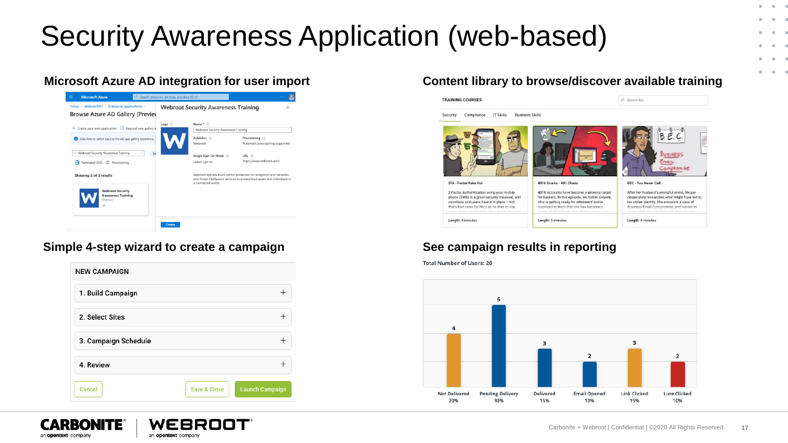### Security Awareness Application (web-based)

|                                                                 | Logo (                              | Name * (i)                                                                                                                                                             |                                  |
|-----------------------------------------------------------------|-------------------------------------|------------------------------------------------------------------------------------------------------------------------------------------------------------------------|----------------------------------|
| + Create your own application . Request new gallery a           | Webroot Security Awareness Training |                                                                                                                                                                        |                                  |
| Click here to switch back to the old app gallery experience.    |                                     | Publisher (i)                                                                                                                                                          | Provisioning (i)                 |
|                                                                 |                                     | Webroot                                                                                                                                                                | Automatic provisioning supported |
| Webroot Security Awareness Training<br>Si                       |                                     | Single Sign-On Mode (                                                                                                                                                  | URL <sup>(1)</sup>               |
| Federated SSO (2) Provisioning                                  |                                     | Linked Sign-on                                                                                                                                                         | https://www.webroot.com/         |
| Showing 2 of 2 results                                          |                                     | Webroot delivers multi-vector protection for endpoints and networks<br>and threat intelligence services to protect businesses and individuals in<br>a connected world. |                                  |
| <b>Webroot Security</b><br><b>Awareness Training</b><br>Webrast |                                     |                                                                                                                                                                        |                                  |

#### **Simple 4-step wizard to create a campaign See campaign results in reporting**

| <b>NEW CAMPAIGN</b>  |                         |                        |
|----------------------|-------------------------|------------------------|
| 1. Build Campaign    |                         |                        |
| 2. Select Sites      |                         |                        |
| 3. Campaign Schedule |                         |                        |
| 4. Review            |                         |                        |
| Cancel               | <b>Save &amp; Close</b> | <b>Launch Campaign</b> |



#### WEBRO an opentext company

#### **Microsoft Azure AD integration for user import Content library to browse/discover available training**



**Total Number of Users: 20** 



 $\bullet$  $\sim$  $\epsilon$ 

> $\bullet$  $\sim$  $\epsilon$